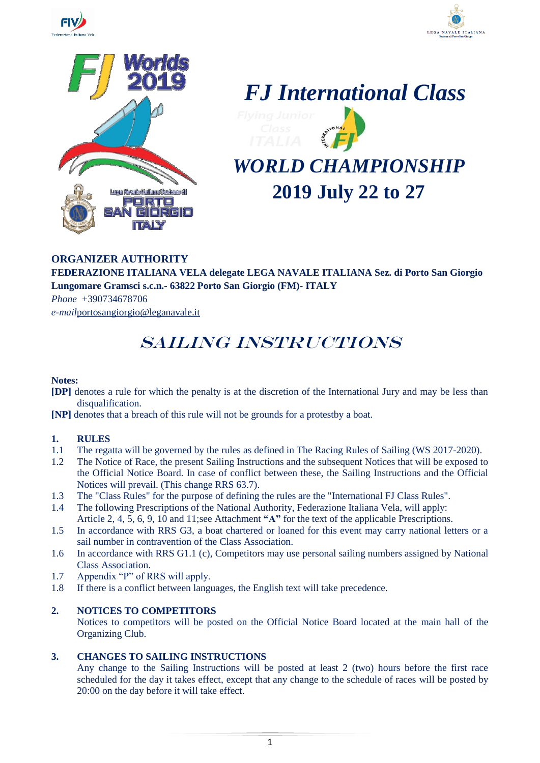







# *WORLD CHAMPIONSHIP* **2019 July 22 to 27**

#### **ORGANIZER AUTHORITY**

**FEDERAZIONE ITALIANA VELA delegate LEGA NAVALE ITALIANA Sez. di Porto San Giorgio Lungomare Gramsci s.c.n.- 63822 Porto San Giorgio (FM)- ITALY**

*Phone* +390734678706 *e-mail*[portosangiorgio@leganavale.it](mailto:portosangiorgio@leganavale.it)

## SAILING INSTRUCTIONS

#### **Notes:**

- **[DP]** denotes a rule for which the penalty is at the discretion of the International Jury and may be less than disqualification.
- **[NP]** denotes that a breach of this rule will not be grounds for a protestby a boat.

#### **1. RULES**

- 1.1 The regatta will be governed by the rules as defined in The Racing Rules of Sailing (WS 2017-2020).
- 1.2 The Notice of Race, the present Sailing Instructions and the subsequent Notices that will be exposed to the Official Notice Board. In case of conflict between these, the Sailing Instructions and the Official Notices will prevail. (This change RRS 63.7).
- 1.3 The "Class Rules" for the purpose of defining the rules are the "International FJ Class Rules".
- 1.4 The following Prescriptions of the National Authority, Federazione Italiana Vela, will apply: Article 2, 4, 5, 6, 9, 10 and 11;see Attachment **"A"** for the text of the applicable Prescriptions.
- 1.5 In accordance with RRS G3, a boat chartered or loaned for this event may carry national letters or a sail number in contravention of the Class Association.
- 1.6 In accordance with RRS G1.1 (c), Competitors may use personal sailing numbers assigned by National Class Association.
- 1.7 Appendix "P" of RRS will apply.
- 1.8 If there is a conflict between languages, the English text will take precedence.

#### **2. NOTICES TO COMPETITORS**

Notices to competitors will be posted on the Official Notice Board located at the main hall of the Organizing Club.

#### **3. CHANGES TO SAILING INSTRUCTIONS**

Any change to the Sailing Instructions will be posted at least 2 (two) hours before the first race scheduled for the day it takes effect, except that any change to the schedule of races will be posted by 20:00 on the day before it will take effect.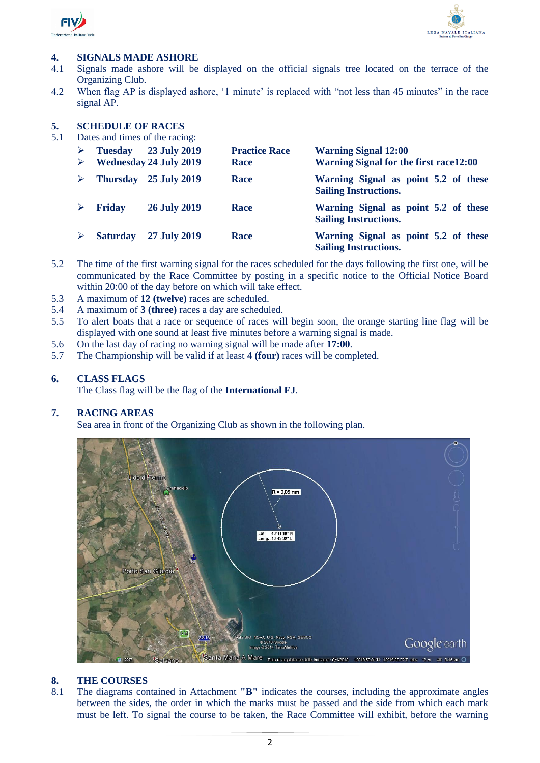

 $\overline{a}$ 



#### **4. SIGNALS MADE ASHORE**

- 4.1 Signals made ashore will be displayed on the official signals tree located on the terrace of the Organizing Club.
- 4.2 When flag AP is displayed ashore, '1 minute' is replaced with "not less than 45 minutes" in the race signal AP.

#### **5. SCHEDULE OF RACES**

5.1 Dates and times of the racing:

| ➤<br>➤ | <b>Tuesday</b>  | 23 July 2019<br><b>Wednesday 24 July 2019</b> | <b>Practice Race</b><br>Race | <b>Warning Signal 12:00</b><br><b>Warning Signal for the first race 12:00</b> |
|--------|-----------------|-----------------------------------------------|------------------------------|-------------------------------------------------------------------------------|
| ➤      |                 | Thursday 25 July 2019                         | Race                         | Warning Signal as point 5.2 of these<br><b>Sailing Instructions.</b>          |
|        | <b>Friday</b>   | <b>26 July 2019</b>                           | Race                         | Warning Signal as point 5.2 of these<br><b>Sailing Instructions.</b>          |
|        | <b>Saturday</b> | 27 July 2019                                  | Race                         | Warning Signal as point 5.2 of these<br><b>Sailing Instructions.</b>          |

- 5.2 The time of the first warning signal for the races scheduled for the days following the first one, will be communicated by the Race Committee by posting in a specific notice to the Official Notice Board within 20:00 of the day before on which will take effect.
- 5.3 A maximum of **12 (twelve)** races are scheduled.
- 5.4 A maximum of **3 (three)** races a day are scheduled.
- 5.5 To alert boats that a race or sequence of races will begin soon, the orange starting line flag will be displayed with one sound at least five minutes before a warning signal is made.
- 5.6 On the last day of racing no warning signal will be made after **17:00**.
- 5.7 The Championship will be valid if at least **4 (four)** races will be completed.

#### **6. CLASS FLAGS**

The Class flag will be the flag of the **International FJ**.

#### **7. RACING AREAS**

Sea area in front of the Organizing Club as shown in the following plan.



#### **8. THE COURSES**

8.1 The diagrams contained in Attachment **"B"** indicates the courses, including the approximate angles between the sides, the order in which the marks must be passed and the side from which each mark must be left. To signal the course to be taken, the Race Committee will exhibit, before the warning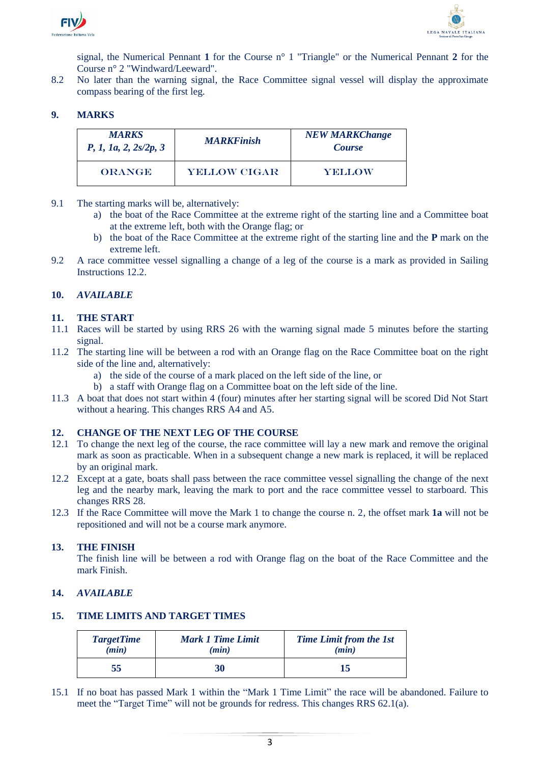



signal, the Numerical Pennant **1** for the Course n° 1 "Triangle" or the Numerical Pennant **2** for the Course n° 2 "Windward/Leeward".

8.2 No later than the warning signal, the Race Committee signal vessel will display the approximate compass bearing of the first leg.

#### **9. MARKS**

| <b>MARKS</b><br>P, 1, 1a, 2, 2s/2p, 3 | <b>MARKFinish</b>   | <b>NEW MARKChange</b><br><b>Course</b> |
|---------------------------------------|---------------------|----------------------------------------|
| <b>ORANGE</b>                         | <b>YELLOW CIGAR</b> | <b>YELLOW</b>                          |

- 9.1 The starting marks will be, alternatively:
	- a) the boat of the Race Committee at the extreme right of the starting line and a Committee boat at the extreme left, both with the Orange flag; or
	- b) the boat of the Race Committee at the extreme right of the starting line and the **P** mark on the extreme left.
- 9.2 A race committee vessel signalling a change of a leg of the course is a mark as provided in Sailing Instructions 12.2.

#### **10.** *AVAILABLE*

#### **11. THE START**

- 11.1 Races will be started by using RRS 26 with the warning signal made 5 minutes before the starting signal.
- 11.2 The starting line will be between a rod with an Orange flag on the Race Committee boat on the right side of the line and, alternatively:
	- a) the side of the course of a mark placed on the left side of the line, or
	- b) a staff with Orange flag on a Committee boat on the left side of the line.
- 11.3 A boat that does not start within 4 (four) minutes after her starting signal will be scored Did Not Start without a hearing. This changes RRS A4 and A5.

#### **12. CHANGE OF THE NEXT LEG OF THE COURSE**

- 12.1 To change the next leg of the course, the race committee will lay a new mark and remove the original mark as soon as practicable. When in a subsequent change a new mark is replaced, it will be replaced by an original mark.
- 12.2 Except at a gate, boats shall pass between the race committee vessel signalling the change of the next leg and the nearby mark, leaving the mark to port and the race committee vessel to starboard. This changes RRS 28.
- 12.3 If the Race Committee will move the Mark 1 to change the course n. 2, the offset mark **1a** will not be repositioned and will not be a course mark anymore.

#### **13. THE FINISH**

The finish line will be between a rod with Orange flag on the boat of the Race Committee and the mark Finish.

#### **14.** *AVAILABLE*

#### **15. TIME LIMITS AND TARGET TIMES**

| <b>TargetTime</b> | <b>Mark 1 Time Limit</b> | <b>Time Limit from the 1st</b> |
|-------------------|--------------------------|--------------------------------|
| (min)             | (min)                    | (min)                          |
| 55                | 30                       | 15                             |

15.1 If no boat has passed Mark 1 within the "Mark 1 Time Limit" the race will be abandoned. Failure to meet the "Target Time" will not be grounds for redress. This changes RRS 62.1(a).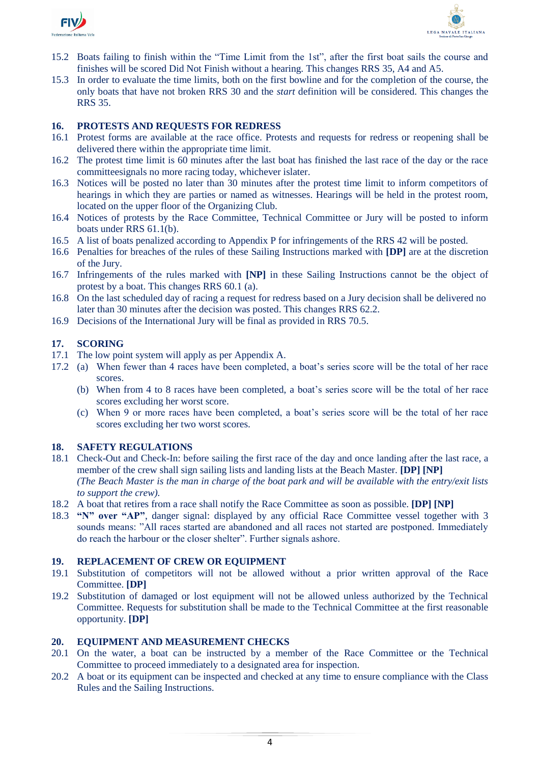



- 15.2 Boats failing to finish within the "Time Limit from the 1st", after the first boat sails the course and finishes will be scored Did Not Finish without a hearing. This changes RRS 35, A4 and A5.
- 15.3 In order to evaluate the time limits, both on the first bowline and for the completion of the course, the only boats that have not broken RRS 30 and the *start* definition will be considered. This changes the RRS 35.

#### **16. PROTESTS AND REQUESTS FOR REDRESS**

- 16.1 Protest forms are available at the race office. Protests and requests for redress or reopening shall be delivered there within the appropriate time limit.
- 16.2 The protest time limit is 60 minutes after the last boat has finished the last race of the day or the race committeesignals no more racing today, whichever islater.
- 16.3 Notices will be posted no later than 30 minutes after the protest time limit to inform competitors of hearings in which they are parties or named as witnesses. Hearings will be held in the protest room, located on the upper floor of the Organizing Club.
- 16.4 Notices of protests by the Race Committee, Technical Committee or Jury will be posted to inform boats under RRS 61.1(b).
- 16.5 A list of boats penalized according to Appendix P for infringements of the RRS 42 will be posted.
- 16.6 Penalties for breaches of the rules of these Sailing Instructions marked with **[DP]** are at the discretion of the Jury.
- 16.7 Infringements of the rules marked with **[NP]** in these Sailing Instructions cannot be the object of protest by a boat. This changes RRS 60.1 (a).
- 16.8 On the last scheduled day of racing a request for redress based on a Jury decision shall be delivered no later than 30 minutes after the decision was posted. This changes RRS 62.2.
- 16.9 Decisions of the International Jury will be final as provided in RRS 70.5.

#### **17. SCORING**

- 17.1 The low point system will apply as per Appendix A.
- 17.2 (a) When fewer than 4 races have been completed, a boat's series score will be the total of her race scores.
	- (b) When from 4 to 8 races have been completed, a boat's series score will be the total of her race scores excluding her worst score.
	- (c) When 9 or more races have been completed, a boat's series score will be the total of her race scores excluding her two worst scores.

#### **18. SAFETY REGULATIONS**

- 18.1 Check-Out and Check-In: before sailing the first race of the day and once landing after the last race, a member of the crew shall sign sailing lists and landing lists at the Beach Master. **[DP] [NP]** *(The Beach Master is the man in charge of the boat park and will be available with the entry/exit lists to support the crew).*
- 18.2 A boat that retires from a race shall notify the Race Committee as soon as possible. **[DP] [NP]**
- 18.3 **"N" over "AP"**, danger signal: displayed by any official Race Committee vessel together with 3 sounds means: "All races started are abandoned and all races not started are postponed. Immediately do reach the harbour or the closer shelter". Further signals ashore.

#### **19. REPLACEMENT OF CREW OR EQUIPMENT**

- 19.1 Substitution of competitors will not be allowed without a prior written approval of the Race Committee. **[DP]**
- 19.2 Substitution of damaged or lost equipment will not be allowed unless authorized by the Technical Committee. Requests for substitution shall be made to the Technical Committee at the first reasonable opportunity. **[DP]**

#### **20. EQUIPMENT AND MEASUREMENT CHECKS**

- 20.1 On the water, a boat can be instructed by a member of the Race Committee or the Technical Committee to proceed immediately to a designated area for inspection.
- 20.2 A boat or its equipment can be inspected and checked at any time to ensure compliance with the Class Rules and the Sailing Instructions.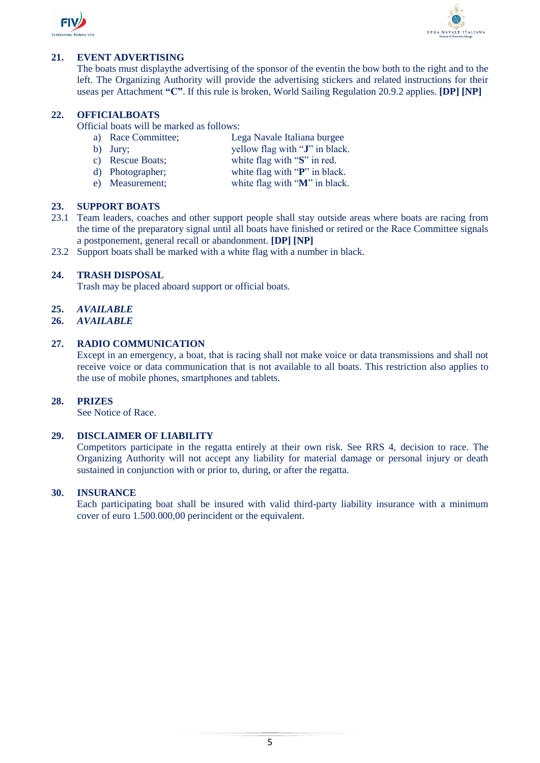



#### **21. EVENT ADVERTISING**

The boats must displaythe advertising of the sponsor of the eventin the bow both to the right and to the left. The Organizing Authority will provide the advertising stickers and related instructions for their useas per Attachment **"C"**. If this rule is broken, World Sailing Regulation 20.9.2 applies. **[DP] [NP]**

#### **22. OFFICIALBOATS**

Official boats will be marked as follows:

- a) Race Committee; Lega Navale Italiana burgee
- b) Jury; yellow flag with "**J**" in black.
- c) Rescue Boats; white flag with "**S**" in red.
- d) Photographer; white flag with "**P**" in black.
- e) Measurement; white flag with "**M**" in black.

#### **23. SUPPORT BOATS**

- 23.1 Team leaders, coaches and other support people shall stay outside areas where boats are racing from the time of the preparatory signal until all boats have finished or retired or the Race Committee signals a postponement, general recall or abandonment. **[DP] [NP]**
- 23.2 Support boats shall be marked with a white flag with a number in black.

#### **24. TRASH DISPOSAL**

Trash may be placed aboard support or official boats.

#### **25.** *AVAILABLE*

**26.** *AVAILABLE*

#### **27. RADIO COMMUNICATION**

Except in an emergency, a boat, that is racing shall not make voice or data transmissions and shall not receive voice or data communication that is not available to all boats. This restriction also applies to the use of mobile phones, smartphones and tablets.

#### **28. PRIZES**

See Notice of Race.

#### **29. DISCLAIMER OF LIABILITY**

Competitors participate in the regatta entirely at their own risk. See RRS 4, decision to race. The Organizing Authority will not accept any liability for material damage or personal injury or death sustained in conjunction with or prior to, during, or after the regatta.

#### **30. INSURANCE**

Each participating boat shall be insured with valid third-party liability insurance with a minimum cover of euro 1.500.000,00 perincident or the equivalent.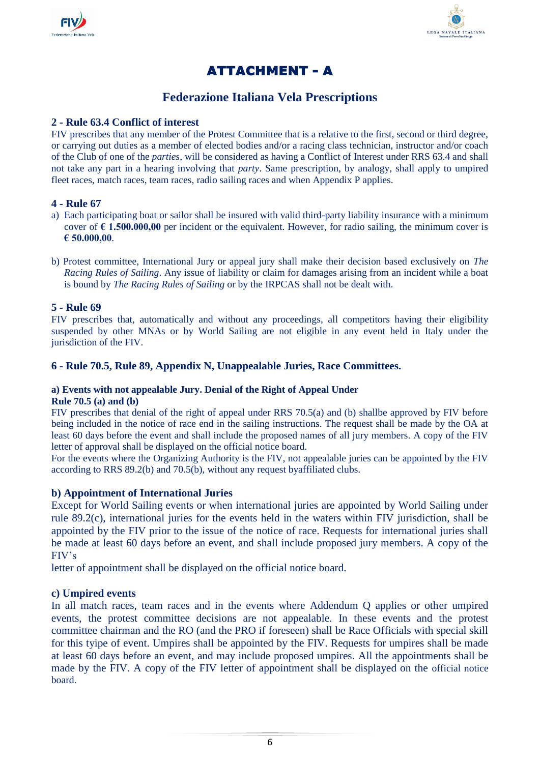



## ATTACHMENT - A

### **Federazione Italiana Vela Prescriptions**

#### **2 - Rule 63.4 Conflict of interest**

FIV prescribes that any member of the Protest Committee that is a relative to the first, second or third degree, or carrying out duties as a member of elected bodies and/or a racing class technician, instructor and/or coach of the Club of one of the *parties*, will be considered as having a Conflict of Interest under RRS 63.4 and shall not take any part in a hearing involving that *party*. Same prescription, by analogy, shall apply to umpired fleet races, match races, team races, radio sailing races and when Appendix P applies.

#### **4 - Rule 67**

- a) Each participating boat or sailor shall be insured with valid third-party liability insurance with a minimum cover of  $\epsilon$  1.500.000,00 per incident or the equivalent. However, for radio sailing, the minimum cover is **€ 50.000,00**.
- b) Protest committee, International Jury or appeal jury shall make their decision based exclusively on *The Racing Rules of Sailing*. Any issue of liability or claim for damages arising from an incident while a boat is bound by *The Racing Rules of Sailing* or by the IRPCAS shall not be dealt with.

#### **5 - Rule 69**

FIV prescribes that, automatically and without any proceedings, all competitors having their eligibility suspended by other MNAs or by World Sailing are not eligible in any event held in Italy under the jurisdiction of the FIV.

#### **6** - **Rule 70.5, Rule 89, Appendix N, Unappealable Juries, Race Committees.**

## **a) Events with not appealable Jury. Denial of the Right of Appeal Under**

#### **Rule 70.5 (a) and (b)**

FIV prescribes that denial of the right of appeal under RRS 70.5(a) and (b) shallbe approved by FIV before being included in the notice of race end in the sailing instructions. The request shall be made by the OA at least 60 days before the event and shall include the proposed names of all jury members. A copy of the FIV letter of approval shall be displayed on the official notice board.

For the events where the Organizing Authority is the FIV, not appealable juries can be appointed by the FIV according to RRS 89.2(b) and 70.5(b), without any request byaffiliated clubs.

#### **b) Appointment of International Juries**

Except for World Sailing events or when international juries are appointed by World Sailing under rule 89.2(c), international juries for the events held in the waters within FIV jurisdiction, shall be appointed by the FIV prior to the issue of the notice of race. Requests for international juries shall be made at least 60 days before an event, and shall include proposed jury members. A copy of the FIV's

letter of appointment shall be displayed on the official notice board.

#### **c) Umpired events**

In all match races, team races and in the events where Addendum Q applies or other umpired events, the protest committee decisions are not appealable. In these events and the protest committee chairman and the RO (and the PRO if foreseen) shall be Race Officials with special skill for this tyipe of event. Umpires shall be appointed by the FIV. Requests for umpires shall be made at least 60 days before an event, and may include proposed umpires. All the appointments shall be made by the FIV. A copy of the FIV letter of appointment shall be displayed on the official notice board.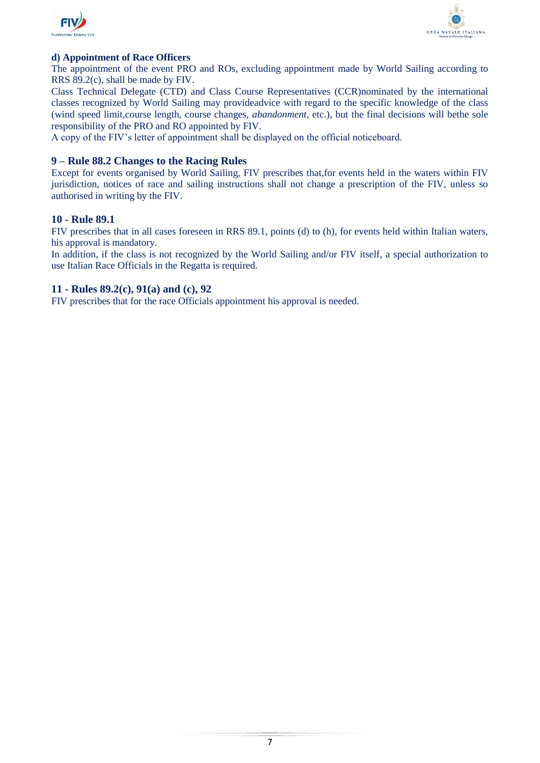



#### **d) Appointment of Race Officers**

The appointment of the event PRO and ROs, excluding appointment made by World Sailing according to RRS 89.2(c), shall be made by FIV.

Class Technical Delegate (CTD) and Class Course Representatives (CCR)nominated by the international classes recognized by World Sailing may provideadvice with regard to the specific knowledge of the class (wind speed limit,course length, course changes, *abandonment*, etc.), but the final decisions will bethe sole responsibility of the PRO and RO appointed by FIV.

A copy of the FIV's letter of appointment shall be displayed on the official noticeboard.

#### **9 – Rule 88.2 Changes to the Racing Rules**

Except for events organised by World Sailing, FIV prescribes that,for events held in the waters within FIV jurisdiction, notices of race and sailing instructions shall not change a prescription of the FIV, unless so authorised in writing by the FIV.

#### **10 - Rule 89.1**

FIV prescribes that in all cases foreseen in RRS 89.1, points (d) to (h), for events held within Italian waters, his approval is mandatory.

In addition, if the class is not recognized by the World Sailing and/or FIV itself, a special authorization to use Italian Race Officials in the Regatta is required.

#### **11 - Rules 89.2(c), 91(a) and (c), 92**

FIV prescribes that for the race Officials appointment his approval is needed.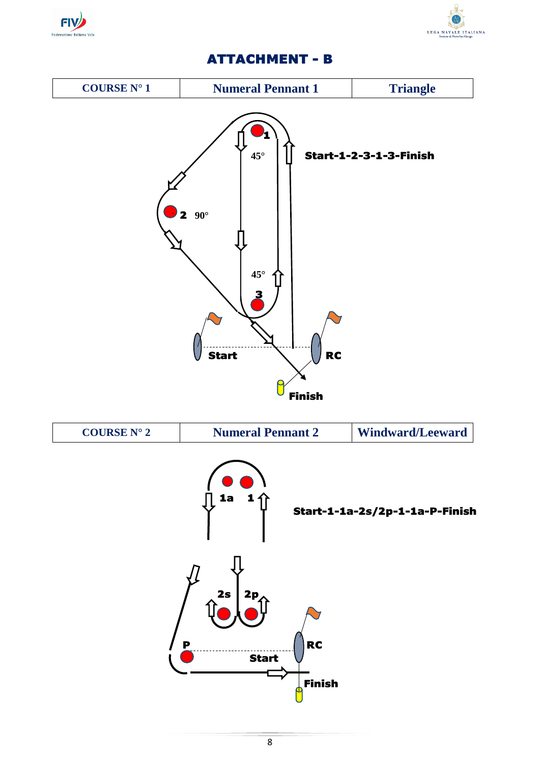



## ATTACHMENT - B